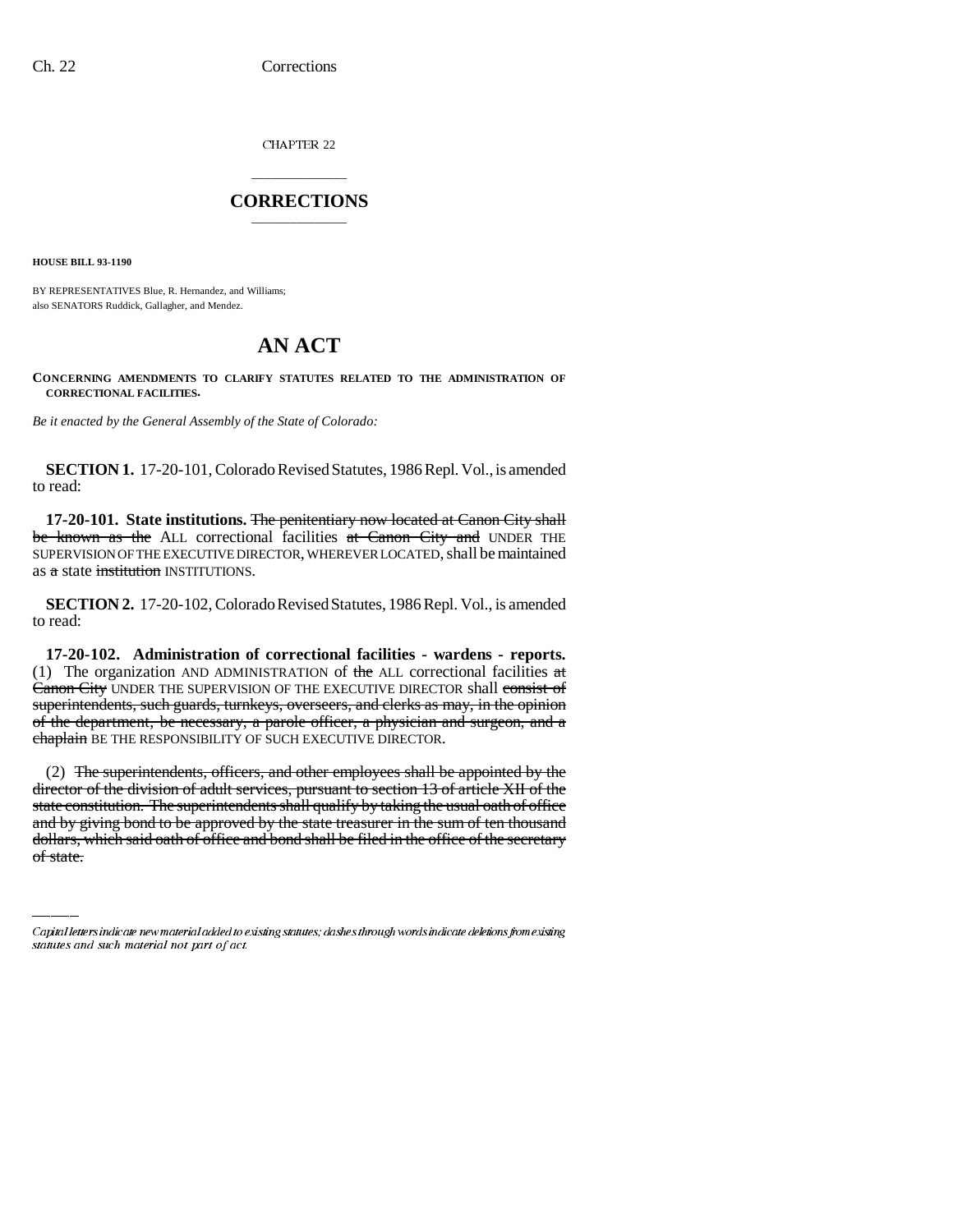CHAPTER 22

## \_\_\_\_\_\_\_\_\_\_\_\_\_\_\_ **CORRECTIONS** \_\_\_\_\_\_\_\_\_\_\_\_\_\_\_

**HOUSE BILL 93-1190**

BY REPRESENTATIVES Blue, R. Hernandez, and Williams; also SENATORS Ruddick, Gallagher, and Mendez.

# **AN ACT**

**CONCERNING AMENDMENTS TO CLARIFY STATUTES RELATED TO THE ADMINISTRATION OF CORRECTIONAL FACILITIES.**

*Be it enacted by the General Assembly of the State of Colorado:*

**SECTION 1.** 17-20-101, Colorado Revised Statutes, 1986 Repl. Vol., is amended to read:

**17-20-101. State institutions.** The penitentiary now located at Canon City shall be known as the ALL correctional facilities at Canon City and UNDER THE SUPERVISION OF THE EXECUTIVE DIRECTOR, WHEREVER LOCATED, shall be maintained as a state *institution* INSTITUTIONS.

**SECTION 2.** 17-20-102, Colorado Revised Statutes, 1986 Repl. Vol., is amended to read:

**17-20-102. Administration of correctional facilities - wardens - reports.** (1) The organization AND ADMINISTRATION of the ALL correctional facilities  $\pi t$ Canon City UNDER THE SUPERVISION OF THE EXECUTIVE DIRECTOR shall consist of superintendents, such guards, turnkeys, overseers, and clerks as may, in the opinion of the department, be necessary, a parole officer, a physician and surgeon, and a chaplain BE THE RESPONSIBILITY OF SUCH EXECUTIVE DIRECTOR.

state constitution. The superintendents shall qualify by taking the usual oath of office (2) The superintendents, officers, and other employees shall be appointed by the director of the division of adult services, pursuant to section 13 of article XII of the and by giving bond to be approved by the state treasurer in the sum of ten thousand dollars, which said oath of office and bond shall be filed in the office of the secretary of state.

Capital letters indicate new material added to existing statutes; dashes through words indicate deletions from existing statutes and such material not part of act.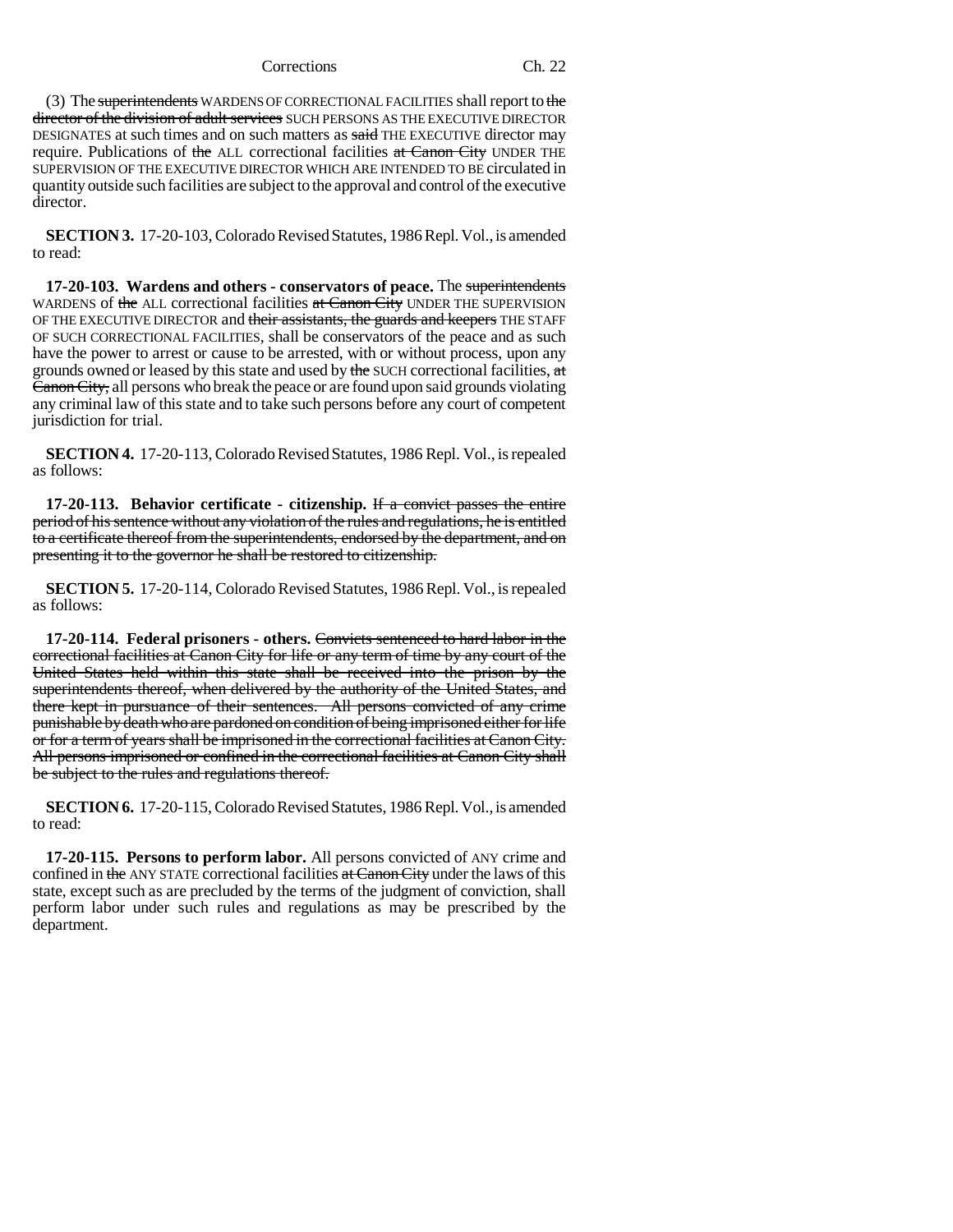#### Corrections Ch. 22

(3) The superintendents WARDENS OF CORRECTIONAL FACILITIES shall report to the director of the division of adult services SUCH PERSONS AS THE EXECUTIVE DIRECTOR DESIGNATES at such times and on such matters as said THE EXECUTIVE director may require. Publications of the ALL correctional facilities at Canon City UNDER THE SUPERVISION OF THE EXECUTIVE DIRECTOR WHICH ARE INTENDED TO BE circulated in quantity outside such facilities are subject to the approval and control of the executive director.

**SECTION 3.** 17-20-103, Colorado Revised Statutes, 1986 Repl. Vol., is amended to read:

**17-20-103. Wardens and others - conservators of peace.** The superintendents WARDENS of the ALL correctional facilities at Canon City UNDER THE SUPERVISION OF THE EXECUTIVE DIRECTOR and their assistants, the guards and keepers THE STAFF OF SUCH CORRECTIONAL FACILITIES, shall be conservators of the peace and as such have the power to arrest or cause to be arrested, with or without process, upon any grounds owned or leased by this state and used by the SUCH correctional facilities, at Canon City, all persons who break the peace or are found upon said grounds violating any criminal law of this state and to take such persons before any court of competent jurisdiction for trial.

**SECTION 4.** 17-20-113, Colorado Revised Statutes, 1986 Repl. Vol., is repealed as follows:

**17-20-113. Behavior certificate - citizenship.** If a convict passes the entire period of his sentence without any violation of the rules and regulations, he is entitled to a certificate thereof from the superintendents, endorsed by the department, and on presenting it to the governor he shall be restored to citizenship.

**SECTION 5.** 17-20-114, Colorado Revised Statutes, 1986 Repl. Vol., is repealed as follows:

**17-20-114. Federal prisoners - others.** Convicts sentenced to hard labor in the correctional facilities at Canon City for life or any term of time by any court of the United States held within this state shall be received into the prison by the superintendents thereof, when delivered by the authority of the United States, and there kept in pursuance of their sentences. All persons convicted of any crime punishable by death who are pardoned on condition of being imprisoned either for life or for a term of years shall be imprisoned in the correctional facilities at Canon City. All persons imprisoned or confined in the correctional facilities at Canon City shall be subject to the rules and regulations thereof.

**SECTION 6.** 17-20-115, Colorado Revised Statutes, 1986 Repl. Vol., is amended to read:

**17-20-115. Persons to perform labor.** All persons convicted of ANY crime and confined in the ANY STATE correctional facilities at Canon City under the laws of this state, except such as are precluded by the terms of the judgment of conviction, shall perform labor under such rules and regulations as may be prescribed by the department.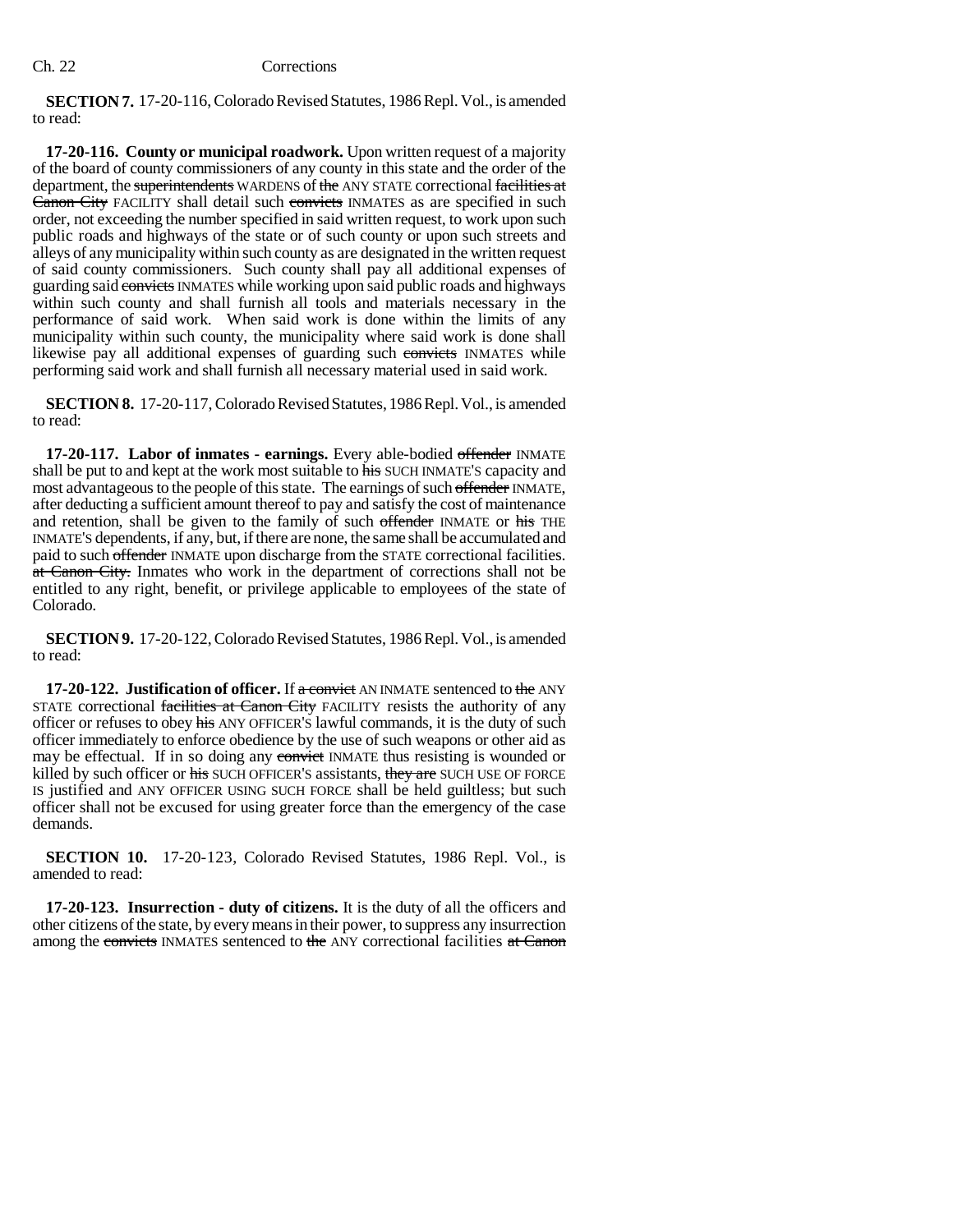### Ch. 22 Corrections

**SECTION 7.** 17-20-116, Colorado Revised Statutes, 1986 Repl. Vol., is amended to read:

**17-20-116. County or municipal roadwork.** Upon written request of a majority of the board of county commissioners of any county in this state and the order of the department, the superintendents WARDENS of the ANY STATE correctional facilities at Canon City FACILITY shall detail such convicts INMATES as are specified in such order, not exceeding the number specified in said written request, to work upon such public roads and highways of the state or of such county or upon such streets and alleys of any municipality within such county as are designated in the written request of said county commissioners. Such county shall pay all additional expenses of guarding said convicts INMATES while working upon said public roads and highways within such county and shall furnish all tools and materials necessary in the performance of said work. When said work is done within the limits of any municipality within such county, the municipality where said work is done shall likewise pay all additional expenses of guarding such convicts INMATES while performing said work and shall furnish all necessary material used in said work.

**SECTION 8.** 17-20-117, Colorado Revised Statutes, 1986 Repl. Vol., is amended to read:

**17-20-117. Labor of inmates - earnings.** Every able-bodied offender INMATE shall be put to and kept at the work most suitable to his SUCH INMATE'S capacity and most advantageous to the people of this state. The earnings of such offender INMATE, after deducting a sufficient amount thereof to pay and satisfy the cost of maintenance and retention, shall be given to the family of such offender INMATE or his THE INMATE'S dependents, if any, but, if there are none, the same shall be accumulated and paid to such offender INMATE upon discharge from the STATE correctional facilities. at Canon City. Inmates who work in the department of corrections shall not be entitled to any right, benefit, or privilege applicable to employees of the state of Colorado.

**SECTION 9.** 17-20-122, Colorado Revised Statutes, 1986 Repl. Vol., is amended to read:

**17-20-122. Justification of officer.** If a convict AN INMATE sentenced to the ANY STATE correctional facilities at Canon City FACILITY resists the authority of any officer or refuses to obey his ANY OFFICER'S lawful commands, it is the duty of such officer immediately to enforce obedience by the use of such weapons or other aid as may be effectual. If in so doing any convict INMATE thus resisting is wounded or killed by such officer or his SUCH OFFICER'S assistants, they are SUCH USE OF FORCE IS justified and ANY OFFICER USING SUCH FORCE shall be held guiltless; but such officer shall not be excused for using greater force than the emergency of the case demands.

**SECTION 10.** 17-20-123, Colorado Revised Statutes, 1986 Repl. Vol., is amended to read:

**17-20-123. Insurrection - duty of citizens.** It is the duty of all the officers and other citizens of the state, by every means in their power, to suppress any insurrection among the convicts INMATES sentenced to the ANY correctional facilities at Canon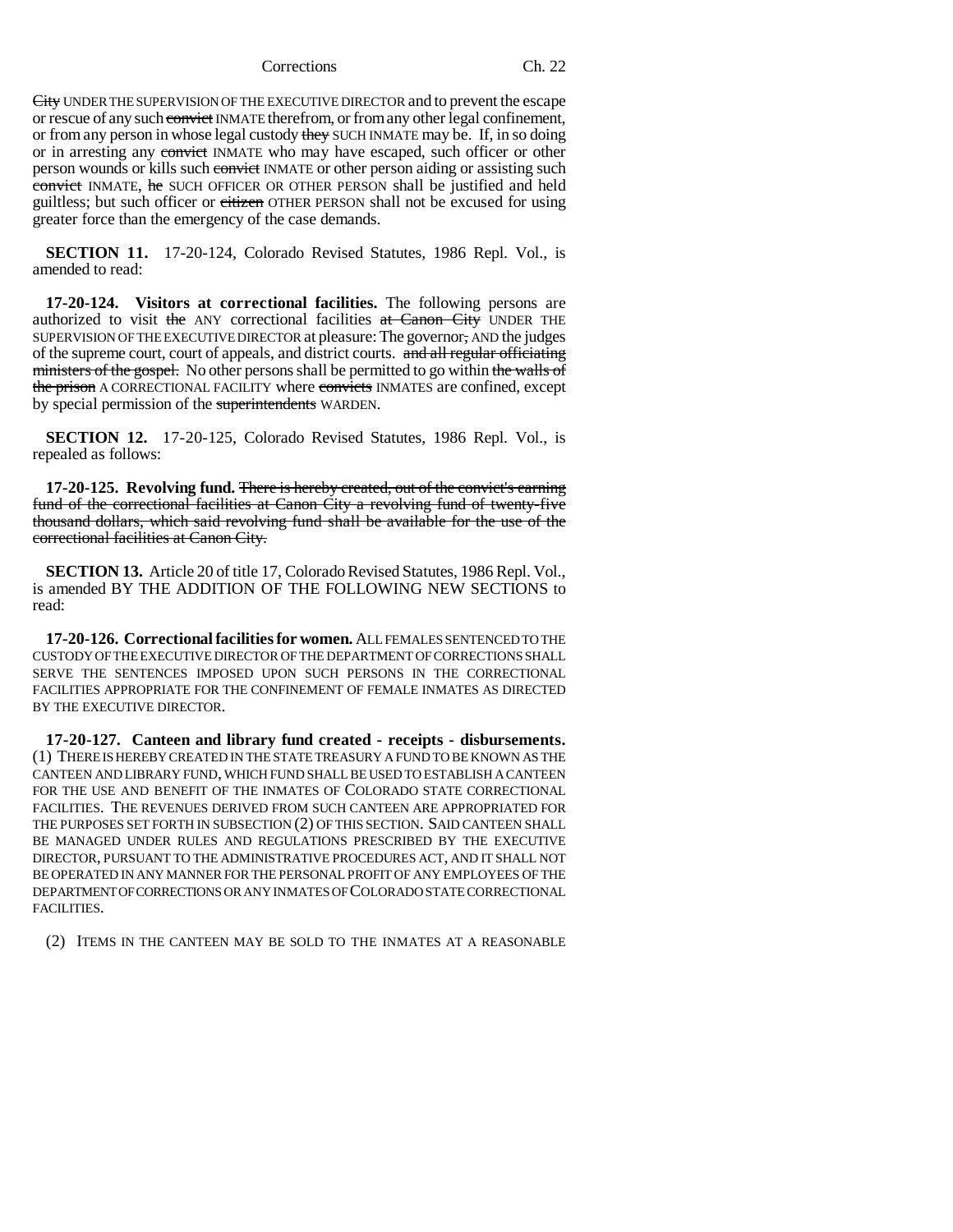#### Corrections Ch. 22

City UNDER THE SUPERVISION OF THE EXECUTIVE DIRECTOR and to prevent the escape or rescue of any such convict INMATE therefrom, or from any other legal confinement, or from any person in whose legal custody they SUCH INMATE may be. If, in so doing or in arresting any convict INMATE who may have escaped, such officer or other person wounds or kills such convict INMATE or other person aiding or assisting such convict INMATE, he SUCH OFFICER OR OTHER PERSON shall be justified and held guiltless; but such officer or eitizen OTHER PERSON shall not be excused for using greater force than the emergency of the case demands.

**SECTION 11.** 17-20-124, Colorado Revised Statutes, 1986 Repl. Vol., is amended to read:

**17-20-124. Visitors at correctional facilities.** The following persons are authorized to visit the ANY correctional facilities at Canon City UNDER THE SUPERVISION OF THE EXECUTIVE DIRECTOR at pleasure: The governor, AND the judges of the supreme court, court of appeals, and district courts. and all regular officiating ministers of the gospel. No other persons shall be permitted to go within the walls of the prison A CORRECTIONAL FACILITY where convicts INMATES are confined, except by special permission of the superintendents WARDEN.

**SECTION 12.** 17-20-125, Colorado Revised Statutes, 1986 Repl. Vol., is repealed as follows:

**17-20-125. Revolving fund.** There is hereby created, out of the convict's earning fund of the correctional facilities at Canon City a revolving fund of twenty-five thousand dollars, which said revolving fund shall be available for the use of the correctional facilities at Canon City.

**SECTION 13.** Article 20 of title 17, Colorado Revised Statutes, 1986 Repl. Vol., is amended BY THE ADDITION OF THE FOLLOWING NEW SECTIONS to read:

**17-20-126. Correctional facilities for women.** ALL FEMALES SENTENCED TO THE CUSTODY OF THE EXECUTIVE DIRECTOR OF THE DEPARTMENT OF CORRECTIONS SHALL SERVE THE SENTENCES IMPOSED UPON SUCH PERSONS IN THE CORRECTIONAL FACILITIES APPROPRIATE FOR THE CONFINEMENT OF FEMALE INMATES AS DIRECTED BY THE EXECUTIVE DIRECTOR.

**17-20-127. Canteen and library fund created - receipts - disbursements.** (1) THERE IS HEREBY CREATED IN THE STATE TREASURY A FUND TO BE KNOWN AS THE CANTEEN AND LIBRARY FUND, WHICH FUND SHALL BE USED TO ESTABLISH A CANTEEN FOR THE USE AND BENEFIT OF THE INMATES OF COLORADO STATE CORRECTIONAL FACILITIES. THE REVENUES DERIVED FROM SUCH CANTEEN ARE APPROPRIATED FOR THE PURPOSES SET FORTH IN SUBSECTION (2) OF THIS SECTION. SAID CANTEEN SHALL BE MANAGED UNDER RULES AND REGULATIONS PRESCRIBED BY THE EXECUTIVE DIRECTOR, PURSUANT TO THE ADMINISTRATIVE PROCEDURES ACT, AND IT SHALL NOT BE OPERATED IN ANY MANNER FOR THE PERSONAL PROFIT OF ANY EMPLOYEES OF THE DEPARTMENT OF CORRECTIONS OR ANY INMATES OF COLORADO STATE CORRECTIONAL FACILITIES.

(2) ITEMS IN THE CANTEEN MAY BE SOLD TO THE INMATES AT A REASONABLE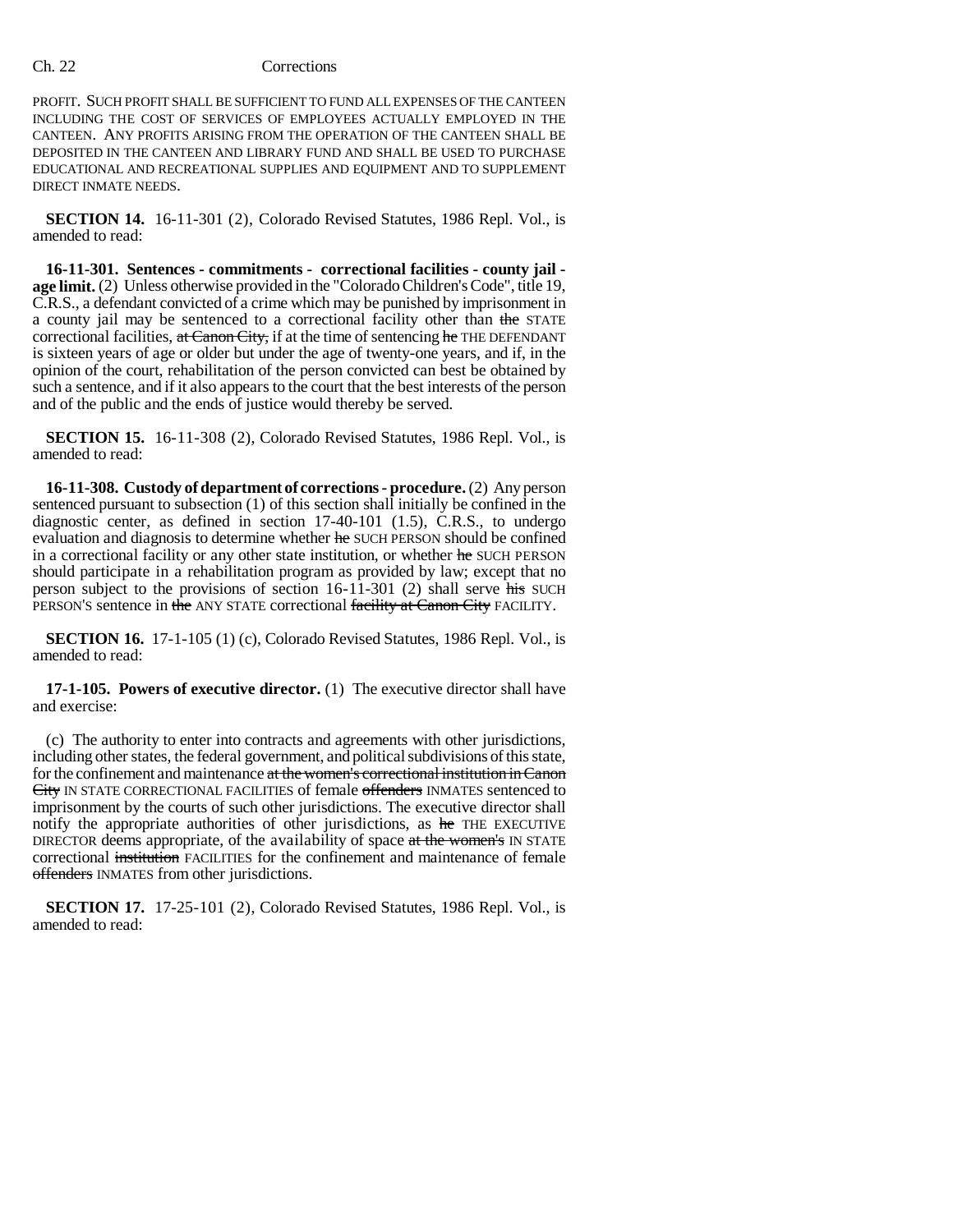### Ch. 22 Corrections

PROFIT. SUCH PROFIT SHALL BE SUFFICIENT TO FUND ALL EXPENSES OF THE CANTEEN INCLUDING THE COST OF SERVICES OF EMPLOYEES ACTUALLY EMPLOYED IN THE CANTEEN. ANY PROFITS ARISING FROM THE OPERATION OF THE CANTEEN SHALL BE DEPOSITED IN THE CANTEEN AND LIBRARY FUND AND SHALL BE USED TO PURCHASE EDUCATIONAL AND RECREATIONAL SUPPLIES AND EQUIPMENT AND TO SUPPLEMENT DIRECT INMATE NEEDS.

**SECTION 14.** 16-11-301 (2), Colorado Revised Statutes, 1986 Repl. Vol., is amended to read:

**16-11-301. Sentences - commitments - correctional facilities - county jail age limit.** (2) Unless otherwise provided in the "Colorado Children's Code", title 19, C.R.S., a defendant convicted of a crime which may be punished by imprisonment in a county jail may be sentenced to a correctional facility other than the STATE correctional facilities, at Canon City, if at the time of sentencing he THE DEFENDANT is sixteen years of age or older but under the age of twenty-one years, and if, in the opinion of the court, rehabilitation of the person convicted can best be obtained by such a sentence, and if it also appears to the court that the best interests of the person and of the public and the ends of justice would thereby be served.

**SECTION 15.** 16-11-308 (2), Colorado Revised Statutes, 1986 Repl. Vol., is amended to read:

**16-11-308. Custody of department of corrections - procedure.** (2) Any person sentenced pursuant to subsection (1) of this section shall initially be confined in the diagnostic center, as defined in section 17-40-101 (1.5), C.R.S., to undergo evaluation and diagnosis to determine whether he SUCH PERSON should be confined in a correctional facility or any other state institution, or whether he SUCH PERSON should participate in a rehabilitation program as provided by law; except that no person subject to the provisions of section 16-11-301 (2) shall serve his SUCH PERSON'S sentence in the ANY STATE correctional facility at Canon City FACILITY.

**SECTION 16.** 17-1-105 (1) (c), Colorado Revised Statutes, 1986 Repl. Vol., is amended to read:

**17-1-105. Powers of executive director.** (1) The executive director shall have and exercise:

(c) The authority to enter into contracts and agreements with other jurisdictions, including other states, the federal government, and political subdivisions of this state, for the confinement and maintenance at the women's correctional institution in Canon City IN STATE CORRECTIONAL FACILITIES of female offenders INMATES sentenced to imprisonment by the courts of such other jurisdictions. The executive director shall notify the appropriate authorities of other jurisdictions, as he THE EXECUTIVE DIRECTOR deems appropriate, of the availability of space at the women's IN STATE correctional institution FACILITIES for the confinement and maintenance of female offenders INMATES from other jurisdictions.

**SECTION 17.** 17-25-101 (2), Colorado Revised Statutes, 1986 Repl. Vol., is amended to read: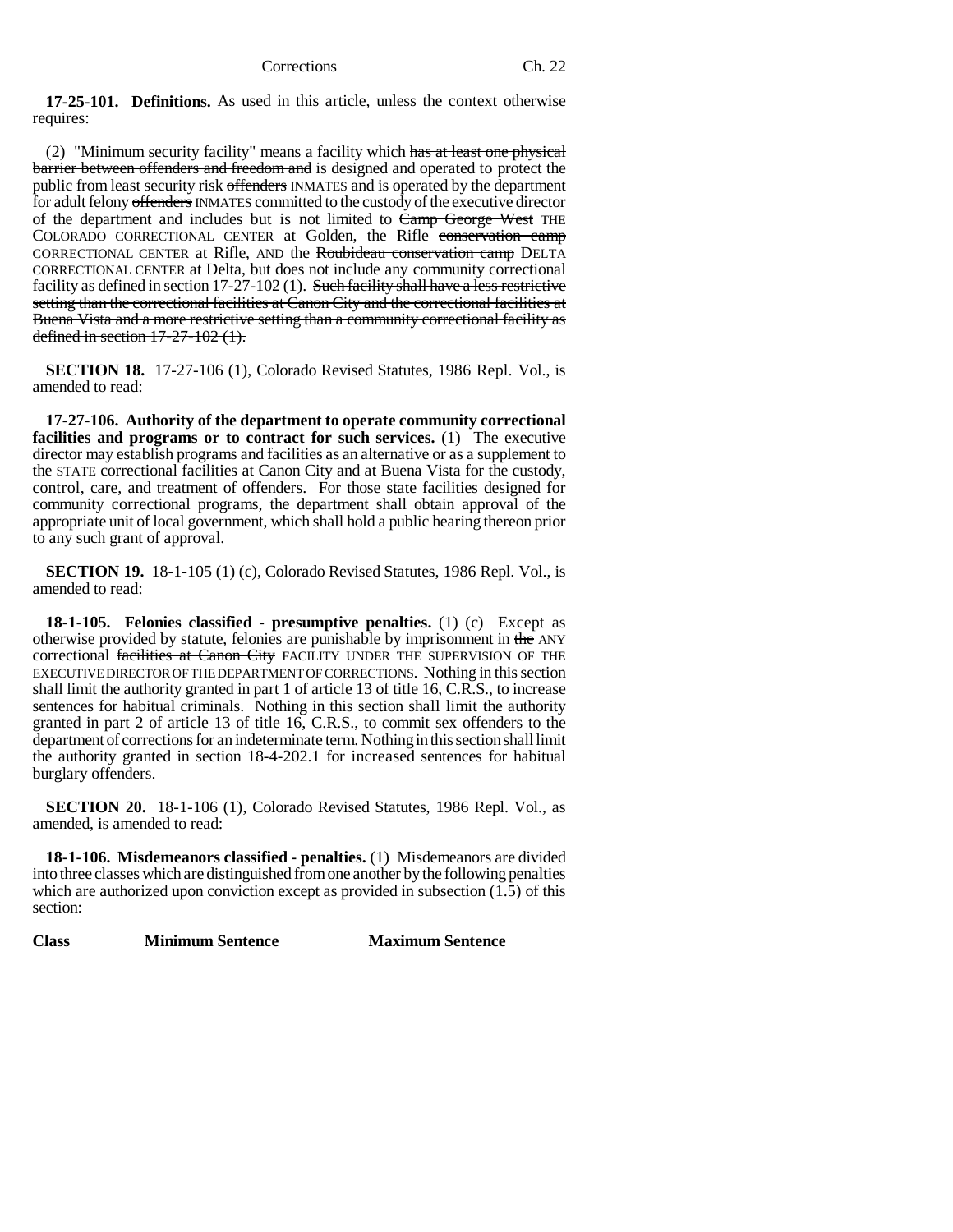**17-25-101. Definitions.** As used in this article, unless the context otherwise requires:

(2) "Minimum security facility" means a facility which has at least one physical **barrier between offenders and freedom and is designed and operated to protect the** public from least security risk offenders INMATES and is operated by the department for adult felony offenders INMATES committed to the custody of the executive director of the department and includes but is not limited to Camp George West THE COLORADO CORRECTIONAL CENTER at Golden, the Rifle conservation camp CORRECTIONAL CENTER at Rifle, AND the Roubideau conservation camp DELTA CORRECTIONAL CENTER at Delta, but does not include any community correctional facility as defined in section 17-27-102 (1). Such facility shall have a less restrictive setting than the correctional facilities at Canon City and the correctional facilities at Buena Vista and a more restrictive setting than a community correctional facility as defined in section 17-27-102 (1).

**SECTION 18.** 17-27-106 (1), Colorado Revised Statutes, 1986 Repl. Vol., is amended to read:

**17-27-106. Authority of the department to operate community correctional facilities and programs or to contract for such services.** (1) The executive director may establish programs and facilities as an alternative or as a supplement to the STATE correctional facilities at Canon City and at Buena Vista for the custody, control, care, and treatment of offenders. For those state facilities designed for community correctional programs, the department shall obtain approval of the appropriate unit of local government, which shall hold a public hearing thereon prior to any such grant of approval.

**SECTION 19.** 18-1-105 (1) (c), Colorado Revised Statutes, 1986 Repl. Vol., is amended to read:

**18-1-105. Felonies classified - presumptive penalties.** (1) (c) Except as otherwise provided by statute, felonies are punishable by imprisonment in the ANY correctional facilities at Canon City FACILITY UNDER THE SUPERVISION OF THE EXECUTIVE DIRECTOR OF THE DEPARTMENT OF CORRECTIONS. Nothing in this section shall limit the authority granted in part 1 of article 13 of title 16, C.R.S., to increase sentences for habitual criminals. Nothing in this section shall limit the authority granted in part 2 of article 13 of title 16, C.R.S., to commit sex offenders to the department of corrections for an indeterminate term. Nothing in this section shall limit the authority granted in section 18-4-202.1 for increased sentences for habitual burglary offenders.

**SECTION 20.** 18-1-106 (1), Colorado Revised Statutes, 1986 Repl. Vol., as amended, is amended to read:

**18-1-106. Misdemeanors classified - penalties.** (1) Misdemeanors are divided into three classes which are distinguished from one another by the following penalties which are authorized upon conviction except as provided in subsection  $(1.5)$  of this section:

**Class Minimum Sentence Maximum Sentence**